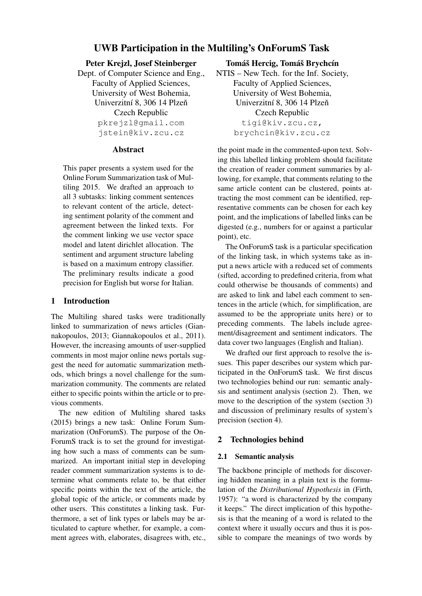# UWB Participation in the Multiling's OnForumS Task

Peter Krejzl, Josef Steinberger

Dept. of Computer Science and Eng., Faculty of Applied Sciences, University of West Bohemia, Univerzitní 8, 306 14 Plzeň Czech Republic

> pkrejzl@gmail.com jstein@kiv.zcu.cz

#### Abstract

This paper presents a system used for the Online Forum Summarization task of Multiling 2015. We drafted an approach to all 3 subtasks: linking comment sentences to relevant content of the article, detecting sentiment polarity of the comment and agreement between the linked texts. For the comment linking we use vector space model and latent dirichlet allocation. The sentiment and argument structure labeling is based on a maximum entropy classifier. The preliminary results indicate a good precision for English but worse for Italian.

### 1 Introduction

The Multiling shared tasks were traditionally linked to summarization of news articles (Giannakopoulos, 2013; Giannakopoulos et al., 2011). However, the increasing amounts of user-supplied comments in most major online news portals suggest the need for automatic summarization methods, which brings a novel challenge for the summarization community. The comments are related either to specific points within the article or to previous comments.

The new edition of Multiling shared tasks (2015) brings a new task: Online Forum Summarization (OnForumS). The purpose of the On-ForumS track is to set the ground for investigating how such a mass of comments can be summarized. An important initial step in developing reader comment summarization systems is to determine what comments relate to, be that either specific points within the text of the article, the global topic of the article, or comments made by other users. This constitutes a linking task. Furthermore, a set of link types or labels may be articulated to capture whether, for example, a comment agrees with, elaborates, disagrees with, etc.,

## Tomáš Hercig, Tomáš Brychcín

NTIS – New Tech. for the Inf. Society, Faculty of Applied Sciences, University of West Bohemia, Univerzitní 8, 306 14 Plzeň Czech Republic tigi@kiv.zcu.cz, brychcin@kiv.zcu.cz

the point made in the commented-upon text. Solving this labelled linking problem should facilitate the creation of reader comment summaries by allowing, for example, that comments relating to the same article content can be clustered, points attracting the most comment can be identified, representative comments can be chosen for each key point, and the implications of labelled links can be digested (e.g., numbers for or against a particular point), etc.

The OnForumS task is a particular specification of the linking task, in which systems take as input a news article with a reduced set of comments (sifted, according to predefined criteria, from what could otherwise be thousands of comments) and are asked to link and label each comment to sentences in the article (which, for simplification, are assumed to be the appropriate units here) or to preceding comments. The labels include agreement/disagreement and sentiment indicators. The data cover two languages (English and Italian).

We drafted our first approach to resolve the issues. This paper describes our system which participated in the OnForumS task. We first discus two technologies behind our run: semantic analysis and sentiment analysis (section 2). Then, we move to the description of the system (section 3) and discussion of preliminary results of system's precision (section 4).

# 2 Technologies behind

### 2.1 Semantic analysis

The backbone principle of methods for discovering hidden meaning in a plain text is the formulation of the *Distributional Hypothesis* in (Firth, 1957): "a word is characterized by the company it keeps." The direct implication of this hypothesis is that the meaning of a word is related to the context where it usually occurs and thus it is possible to compare the meanings of two words by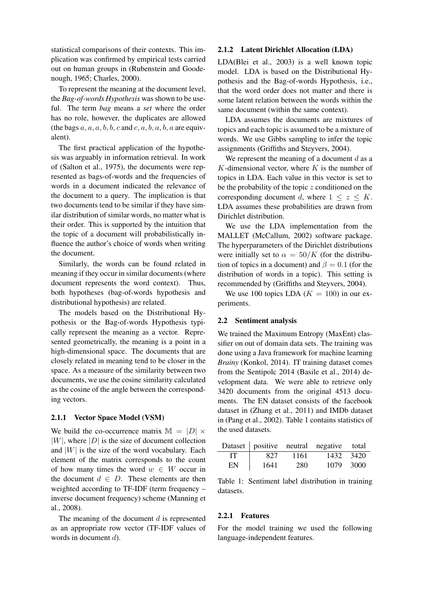statistical comparisons of their contexts. This implication was confirmed by empirical tests carried out on human groups in (Rubenstein and Goodenough, 1965; Charles, 2000).

To represent the meaning at the document level, the *Bag-of-words Hypothesis* was shown to be useful. The term *bag* means a *set* where the order has no role, however, the duplicates are allowed (the bags  $a, a, a, b, b, c$  and  $c, a, b, a, b, a$  are equivalent).

The first practical application of the hypothesis was arguably in information retrieval. In work of (Salton et al., 1975), the documents were represented as bags-of-words and the frequencies of words in a document indicated the relevance of the document to a query. The implication is that two documents tend to be similar if they have similar distribution of similar words, no matter what is their order. This is supported by the intuition that the topic of a document will probabilistically influence the author's choice of words when writing the document.

Similarly, the words can be found related in meaning if they occur in similar documents (where document represents the word context). Thus, both hypotheses (bag-of-words hypothesis and distributional hypothesis) are related.

The models based on the Distributional Hypothesis or the Bag-of-words Hypothesis typically represent the meaning as a vector. Represented geometrically, the meaning is a point in a high-dimensional space. The documents that are closely related in meaning tend to be closer in the space. As a measure of the similarity between two documents, we use the cosine similarity calculated as the cosine of the angle between the corresponding vectors.

#### 2.1.1 Vector Space Model (VSM)

We build the co-occurrence matrix  $\mathbb{M} = |D| \times$  $|W|$ , where  $|D|$  is the size of document collection and  $|W|$  is the size of the word vocabulary. Each element of the matrix corresponds to the count of how many times the word  $w \in W$  occur in the document  $d \in D$ . These elements are then weighted according to TF-IDF (term frequency – inverse document frequency) scheme (Manning et al., 2008).

The meaning of the document  $d$  is represented as an appropriate row vector (TF-IDF values of words in document d).

#### 2.1.2 Latent Dirichlet Allocation (LDA)

LDA(Blei et al., 2003) is a well known topic model. LDA is based on the Distributional Hypothesis and the Bag-of-words Hypothesis, i.e., that the word order does not matter and there is some latent relation between the words within the same document (within the same context).

LDA assumes the documents are mixtures of topics and each topic is assumed to be a mixture of words. We use Gibbs sampling to infer the topic assignments (Griffiths and Steyvers, 2004).

We represent the meaning of a document  $d$  as a  $K$ -dimensional vector, where  $K$  is the number of topics in LDA. Each value in this vector is set to be the probability of the topic  $z$  conditioned on the corresponding document d, where  $1 \leq z \leq K$ . LDA assumes these probabilities are drawn from Dirichlet distribution.

We use the LDA implementation from the MALLET (McCallum, 2002) software package. The hyperparameters of the Dirichlet distributions were initially set to  $\alpha = 50/K$  (for the distribution of topics in a document) and  $\beta = 0.1$  (for the distribution of words in a topic). This setting is recommended by (Griffiths and Steyvers, 2004).

We use 100 topics LDA  $(K = 100)$  in our experiments.

#### 2.2 Sentiment analysis

We trained the Maximum Entropy (MaxEnt) classifier on out of domain data sets. The training was done using a Java framework for machine learning *Brainy* (Konkol, 2014). IT training dataset comes from the Sentipolc 2014 (Basile et al., 2014) development data. We were able to retrieve only 3420 documents from the original 4513 documents. The EN dataset consists of the facebook dataset in (Zhang et al., 2011) and IMDb dataset in (Pang et al., 2002). Table 1 contains statistics of the used datasets.

|    |      |      | Dataset positive neutral negative total |           |
|----|------|------|-----------------------------------------|-----------|
| IТ | 827  | 1161 | 1432 3420                               |           |
| EN | 1641 | 280  |                                         | 1079 3000 |

Table 1: Sentiment label distribution in training datasets.

#### 2.2.1 Features

For the model training we used the following language-independent features.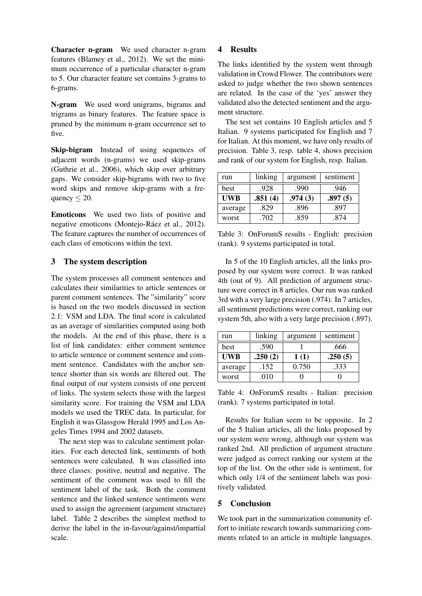Character n-gram We used character n-gram features (Blamey et al., 2012). We set the minimum occurrence of a particular character n-gram to 5. Our character feature set contains 3-grams to 6-grams.

N-gram We used word unigrams, bigrams and trigrams as binary features. The feature space is pruned by the minimum n-gram occurrence set to five.

Skip-bigram Instead of using sequences of adjacent words (n-grams) we used skip-grams (Guthrie et al., 2006), which skip over arbitrary gaps. We consider skip-bigrams with two to five word skips and remove skip-grams with a frequency  $\leq$  20.

Emoticons We used two lists of positive and negative emoticons (Montejo-Ráez et al., 2012). The feature captures the number of occurrences of each class of emoticons within the text.

## 3 The system description

The system processes all comment sentences and calculates their similarities to article sentences or parent comment sentences. The "similarity" score is based on the two models discussed in section 2.1: VSM and LDA. The final score is calculated as an average of similarities computed using both the models. At the end of this phase, there is a list of link candidates: either comment sentence to article sentence or comment sentence and comment sentence. Candidates with the anchor sentence shorter than six words are filtered out. The final output of our system consists of one percent of links. The system selects those with the largest similarity score. For training the VSM and LDA models we used the TREC data. In particular, for English it was Glassgow Herald 1995 and Los Angeles Times 1994 and 2002 datasets.

The next step was to calculate sentiment polarities. For each detected link, sentiments of both sentences were calculated. It was classified into three classes: positive, neutral and negative. The sentiment of the comment was used to fill the sentiment label of the task. Both the comment sentence and the linked sentence sentiments were used to assign the agreement (argument structure) label. Table 2 describes the simplest method to derive the label in the in-favour/against/impartial scale.

## 4 Results

The links identified by the system went through validation in Crowd Flower. The contributors were asked to judge whether the two shown sentences are related. In the case of the 'yes' answer they validated also the detected sentiment and the argument structure.

The test set contains 10 English articles and 5 Italian. 9 systems participated for English and 7 for Italian. At this moment, we have only results of precision. Table 3, resp. table 4, shows precision and rank of our system for English, resp. Italian.

| run        | linking | argument | sentiment |
|------------|---------|----------|-----------|
| best       | .928    | .990     | .946      |
| <b>UWB</b> | .851(4) | .974(3)  | .897(5)   |
| average    | .829    | .896     | .897      |
| worst      | .702    | .859     | .874      |

Table 3: OnForumS results - English: precision (rank). 9 systems participated in total.

In 5 of the 10 English articles, all the links proposed by our system were correct. It was ranked 4th (out of 9). All prediction of argument structure were correct in 8 articles. Our run was ranked 3rd with a very large precision (.974). In 7 articles, all sentiment predictions were correct, ranking our system 5th, also with a very large precision (.897).

| run        | linking | argument | sentiment |
|------------|---------|----------|-----------|
| best       | .590    |          | .666      |
| <b>UWB</b> | .250(2) | 1(1)     | .250(5)   |
| average    | .152    | 0.750    | .333      |
| worst      | .010    |          |           |

Table 4: OnForumS results - Italian: precision (rank). 7 systems participated in total.

Results for Italian seem to be opposite. In 2 of the 5 Italian articles, all the links proposed by our system were wrong, although our system was ranked 2nd. All prediction of argument structure were judged as correct ranking our system at the top of the list. On the other side is sentiment, for which only 1/4 of the sentiment labels was positively validated.

# 5 Conclusion

We took part in the summarization community effort to initiate research towards summarizing comments related to an article in multiple languages.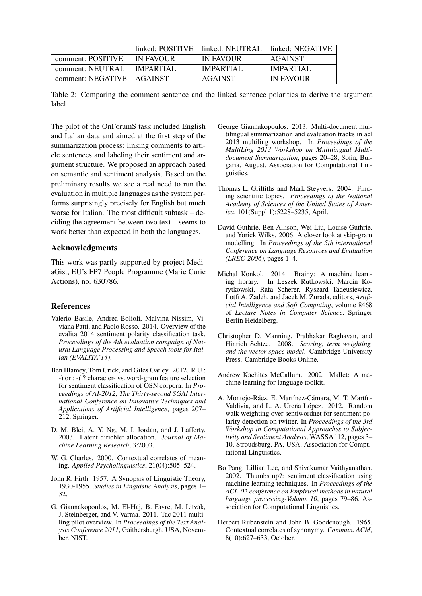|                             |                  | $linked: POSTTIVE \perp linked: NEUTRAL$ | <sup>1</sup> linked: NEGATIVE |
|-----------------------------|------------------|------------------------------------------|-------------------------------|
| comment: POSITIVE           | IN FAVOUR        | IN FAVOUR                                | AGAINST                       |
| comment: NEUTRAL            | <b>IMPARTIAL</b> | <b>IMPARTIAL</b>                         | <b>IMPARTIAL</b>              |
| comment: NEGATIVE   AGAINST |                  | <b>AGAINST</b>                           | IN FAVOUR                     |

Table 2: Comparing the comment sentence and the linked sentence polarities to derive the argument label.

The pilot of the OnForumS task included English and Italian data and aimed at the first step of the summarization process: linking comments to article sentences and labeling their sentiment and argument structure. We proposed an approach based on semantic and sentiment analysis. Based on the preliminary results we see a real need to run the evaluation in multiple languages as the system performs surprisingly precisely for English but much worse for Italian. The most difficult subtask – deciding the agreement between two text – seems to work better than expected in both the languages.

#### Acknowledgments

This work was partly supported by project MediaGist, EU's FP7 People Programme (Marie Curie Actions), no. 630786.

#### References

- Valerio Basile, Andrea Bolioli, Malvina Nissim, Viviana Patti, and Paolo Rosso. 2014. Overview of the evalita 2014 sentiment polarity classification task. *Proceedings of the 4th evaluation campaign of Natural Language Processing and Speech tools for Italian (EVALITA'14)*.
- Ben Blamey, Tom Crick, and Giles Oatley. 2012. R U : -) or : -( ? character- vs. word-gram feature selection for sentiment classification of OSN corpora. In *Proceedings of AI-2012, The Thirty-second SGAI International Conference on Innovative Techniques and Applications of Artificial Intelligence*, pages 207– 212. Springer.
- D. M. Blei, A. Y. Ng, M. I. Jordan, and J. Lafferty. 2003. Latent dirichlet allocation. *Journal of Machine Learning Research*, 3:2003.
- W. G. Charles. 2000. Contextual correlates of meaning. *Applied Psycholinguistics*, 21(04):505–524.
- John R. Firth. 1957. A Synopsis of Linguistic Theory, 1930-1955. *Studies in Linguistic Analysis*, pages 1– 32.
- G. Giannakopoulos, M. El-Haj, B. Favre, M. Litvak, J. Steinberger, and V. Varma. 2011. Tac 2011 multiling pilot overview. In *Proceedings of the Text Analysis Conference 2011*, Gaithersburgh, USA, November. NIST.
- George Giannakopoulos. 2013. Multi-document multilingual summarization and evaluation tracks in acl 2013 multiling workshop. In *Proceedings of the MultiLing 2013 Workshop on Multilingual Multidocument Summarization*, pages 20–28, Sofia, Bulgaria, August. Association for Computational Linguistics.
- Thomas L. Griffiths and Mark Steyvers. 2004. Finding scientific topics. *Proceedings of the National Academy of Sciences of the United States of America*, 101(Suppl 1):5228–5235, April.
- David Guthrie, Ben Allison, Wei Liu, Louise Guthrie, and Yorick Wilks. 2006. A closer look at skip-gram modelling. In *Proceedings of the 5th international Conference on Language Resources and Evaluation (LREC-2006)*, pages 1–4.
- Michal Konkol. 2014. Brainy: A machine learning library. In Leszek Rutkowski, Marcin Korytkowski, Rafa Scherer, Ryszard Tadeusiewicz, Lotfi A. Zadeh, and Jacek M. Zurada, editors, *Artificial Intelligence and Soft Computing*, volume 8468 of *Lecture Notes in Computer Science*. Springer Berlin Heidelberg.
- Christopher D. Manning, Prabhakar Raghavan, and Hinrich Schtze. 2008. *Scoring, term weighting, and the vector space model*. Cambridge University Press. Cambridge Books Online.
- Andrew Kachites McCallum. 2002. Mallet: A machine learning for language toolkit.
- A. Montejo-Ráez, E. Martínez-Cámara, M. T. Martín-Valdivia, and L. A. Ureña López. 2012. Random walk weighting over sentiwordnet for sentiment polarity detection on twitter. In *Proceedings of the 3rd Workshop in Computational Approaches to Subjectivity and Sentiment Analysis*, WASSA '12, pages 3– 10, Stroudsburg, PA, USA. Association for Computational Linguistics.
- Bo Pang, Lillian Lee, and Shivakumar Vaithyanathan. 2002. Thumbs up?: sentiment classification using machine learning techniques. In *Proceedings of the ACL-02 conference on Empirical methods in natural language processing-Volume 10*, pages 79–86. Association for Computational Linguistics.
- Herbert Rubenstein and John B. Goodenough. 1965. Contextual correlates of synonymy. *Commun. ACM*, 8(10):627–633, October.